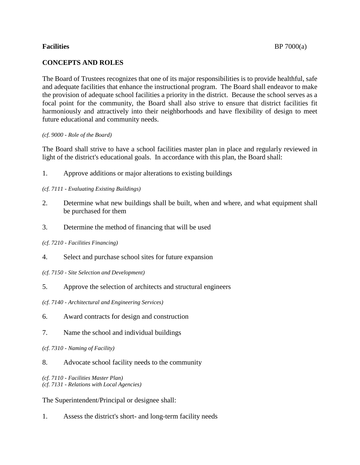The Board of Trustees recognizes that one of its major responsibilities is to provide healthful, safe and adequate facilities that enhance the instructional program. The Board shall endeavor to make the provision of adequate school facilities a priority in the district. Because the school serves as a focal point for the community, the Board shall also strive to ensure that district facilities fit harmoniously and attractively into their neighborhoods and have flexibility of design to meet future educational and community needs.

## *(cf. 9000 - Role of the Board)*

The Board shall strive to have a school facilities master plan in place and regularly reviewed in light of the district's educational goals. In accordance with this plan, the Board shall:

1. Approve additions or major alterations to existing buildings

## *(cf. 7111 - Evaluating Existing Buildings)*

- 2. Determine what new buildings shall be built, when and where, and what equipment shall be purchased for them
- 3. Determine the method of financing that will be used

## *(cf. 7210 - Facilities Financing)*

- 4. Select and purchase school sites for future expansion
- *(cf. 7150 - Site Selection and Development)*
- 5. Approve the selection of architects and structural engineers
- *(cf. 7140 - Architectural and Engineering Services)*
- 6. Award contracts for design and construction
- 7. Name the school and individual buildings
- *(cf. 7310 - Naming of Facility)*
- 8. Advocate school facility needs to the community

*(cf. 7110 - Facilities Master Plan) (cf. 7131 - Relations with Local Agencies)*

The Superintendent/Principal or designee shall:

1. Assess the district's short- and long-term facility needs